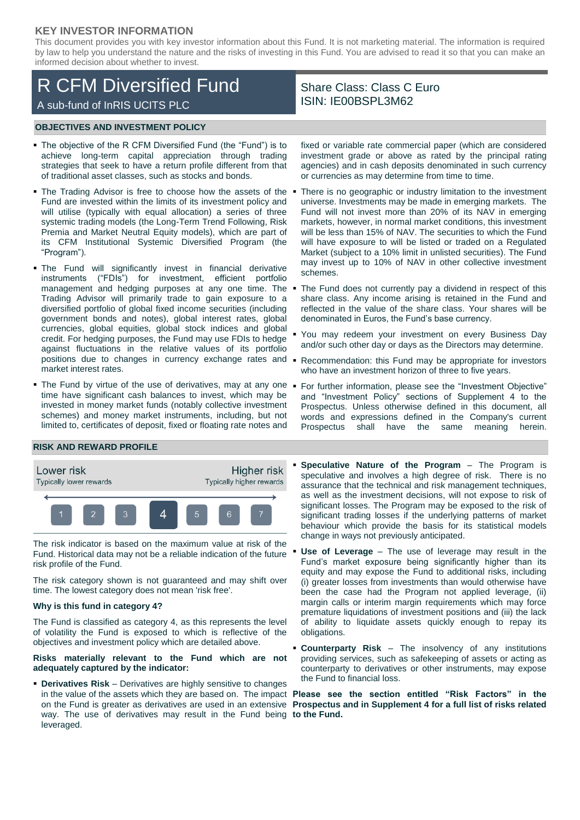## **KEY INVESTOR INFORMATION**

This document provides you with key investor information about this Fund. It is not marketing material. The information is required by law to help you understand the nature and the risks of investing in this Fund. You are advised to read it so that you can make an informed decision about whether to invest.

# R CFM Diversified Fund A sub-fund of InRIS UCITS PLC

# Share Class: Class C Euro ISIN: IE00BSPL3M62

#### **OBJECTIVES AND INVESTMENT POLICY**

- The objective of the R CFM Diversified Fund (the "Fund") is to achieve long-term capital appreciation through trading strategies that seek to have a return profile different from that of traditional asset classes, such as stocks and bonds.
- The Trading Advisor is free to choose how the assets of the Fund are invested within the limits of its investment policy and will utilise (typically with equal allocation) a series of three systemic trading models (the Long-Term Trend Following, Risk Premia and Market Neutral Equity models), which are part of its CFM Institutional Systemic Diversified Program (the "Program").
- The Fund will significantly invest in financial derivative instruments ("FDIs") for investment, efficient portfolio management and hedging purposes at any one time. The Trading Advisor will primarily trade to gain exposure to a diversified portfolio of global fixed income securities (including government bonds and notes), global interest rates, global currencies, global equities, global stock indices and global credit. For hedging purposes, the Fund may use FDIs to hedge against fluctuations in the relative values of its portfolio positions due to changes in currency exchange rates and  $\blacksquare$ market interest rates.
- The Fund by virtue of the use of derivatives, may at any one time have significant cash balances to invest, which may be invested in money market funds (notably collective investment schemes) and money market instruments, including, but not limited to, certificates of deposit, fixed or floating rate notes and

fixed or variable rate commercial paper (which are considered investment grade or above as rated by the principal rating agencies) and in cash deposits denominated in such currency or currencies as may determine from time to time.

- There is no geographic or industry limitation to the investment universe. Investments may be made in emerging markets. The Fund will not invest more than 20% of its NAV in emerging markets, however, in normal market conditions, this investment will be less than 15% of NAV. The securities to which the Fund will have exposure to will be listed or traded on a Regulated Market (subject to a 10% limit in unlisted securities). The Fund may invest up to 10% of NAV in other collective investment schemes.
- The Fund does not currently pay a dividend in respect of this share class. Any income arising is retained in the Fund and reflected in the value of the share class. Your shares will be denominated in Euros, the Fund's base currency.
- You may redeem your investment on every Business Day and/or such other day or days as the Directors may determine.
- Recommendation: this Fund may be appropriate for investors who have an investment horizon of three to five years.
- For further information, please see the "Investment Objective" and "Investment Policy" sections of Supplement 4 to the Prospectus. Unless otherwise defined in this document, all words and expressions defined in the Company's current Prospectus shall have the same meaning herein.

## **RISK AND REWARD PROFILE**



The risk indicator is based on the maximum value at risk of the Fund. Historical data may not be a reliable indication of the future risk profile of the Fund.

The risk category shown is not guaranteed and may shift over time. The lowest category does not mean 'risk free'.

#### **Why is this fund in category 4?**

The Fund is classified as category 4, as this represents the level of volatility the Fund is exposed to which is reflective of the objectives and investment policy which are detailed above.

#### **Risks materially relevant to the Fund which are not adequately captured by the indicator:**

 **Derivatives Risk** – Derivatives are highly sensitive to changes way. The use of derivatives may result in the Fund being **to the Fund.**leveraged.

- **Speculative Nature of the Program** The Program is speculative and involves a high degree of risk. There is no assurance that the technical and risk management techniques, as well as the investment decisions, will not expose to risk of significant losses. The Program may be exposed to the risk of significant trading losses if the underlying patterns of market behaviour which provide the basis for its statistical models change in ways not previously anticipated.
- **Use of Leverage** The use of leverage may result in the Fund's market exposure being significantly higher than its equity and may expose the Fund to additional risks, including (i) greater losses from investments than would otherwise have been the case had the Program not applied leverage, (ii) margin calls or interim margin requirements which may force premature liquidations of investment positions and (iii) the lack of ability to liquidate assets quickly enough to repay its obligations.
- **Counterparty Risk** The insolvency of any institutions providing services, such as safekeeping of assets or acting as counterparty to derivatives or other instruments, may expose the Fund to financial loss.

in the value of the assets which they are based on. The impact **Please see the section entitled "Risk Factors" in the**  on the Fund is greater as derivatives are used in an extensive **Prospectus and in Supplement 4 for a full list of risks related**